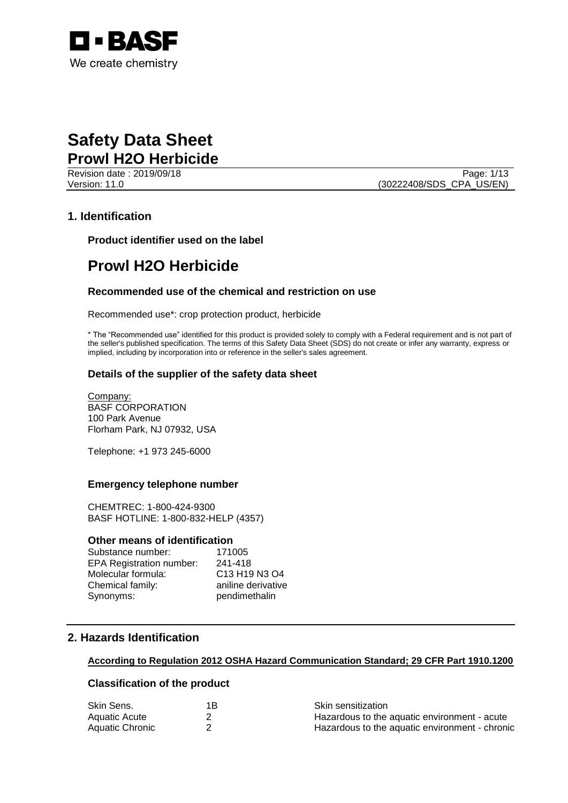

Revision date : 2019/09/18 Page: 1/13 Version: 11.0 (30222408/SDS\_CPA\_US/EN)

#### **1. Identification**

**Product identifier used on the label**

### **Prowl H2O Herbicide**

#### **Recommended use of the chemical and restriction on use**

Recommended use\*: crop protection product, herbicide

\* The "Recommended use" identified for this product is provided solely to comply with a Federal requirement and is not part of the seller's published specification. The terms of this Safety Data Sheet (SDS) do not create or infer any warranty, express or implied, including by incorporation into or reference in the seller's sales agreement.

#### **Details of the supplier of the safety data sheet**

Company: BASF CORPORATION 100 Park Avenue Florham Park, NJ 07932, USA

Telephone: +1 973 245-6000

#### **Emergency telephone number**

CHEMTREC: 1-800-424-9300 BASF HOTLINE: 1-800-832-HELP (4357)

#### **Other means of identification**

| Substance number:               | 171005                                                        |
|---------------------------------|---------------------------------------------------------------|
| <b>EPA Registration number:</b> | 241-418                                                       |
| Molecular formula:              | C <sub>13</sub> H <sub>19</sub> N <sub>3</sub> O <sub>4</sub> |
| Chemical family:                | aniline derivative                                            |
| Synonyms:                       | pendimethalin                                                 |

#### **2. Hazards Identification**

#### **According to Regulation 2012 OSHA Hazard Communication Standard; 29 CFR Part 1910.1200**

#### **Classification of the product**

| Skin Sens.      | 1Β | <b>Skin sensitization</b>                      |
|-----------------|----|------------------------------------------------|
| Aquatic Acute   |    | Hazardous to the aquatic environment - acute   |
| Aquatic Chronic |    | Hazardous to the aquatic environment - chronic |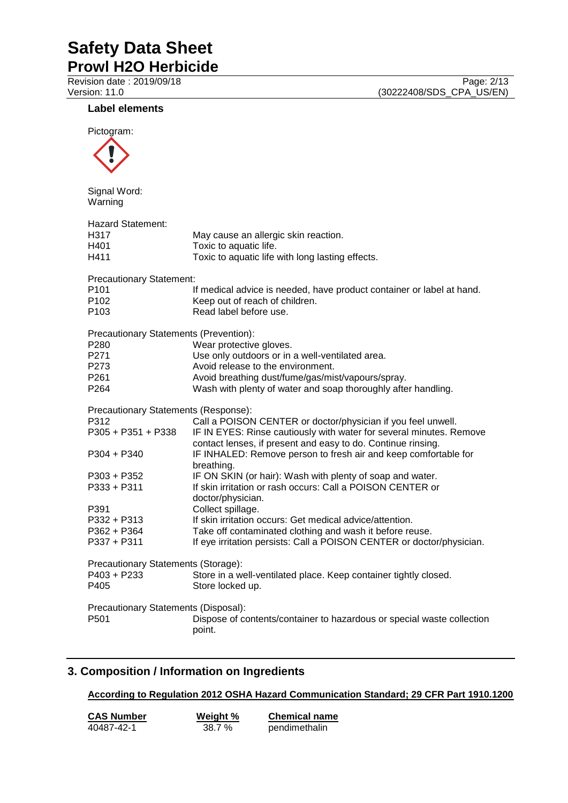#### **Label elements**

| Pictogram:                                                                                                                                       |                                                                                                                                                                                                                                                                                                                                                                                                                                                                                                                       |
|--------------------------------------------------------------------------------------------------------------------------------------------------|-----------------------------------------------------------------------------------------------------------------------------------------------------------------------------------------------------------------------------------------------------------------------------------------------------------------------------------------------------------------------------------------------------------------------------------------------------------------------------------------------------------------------|
| Signal Word:<br>Warning                                                                                                                          |                                                                                                                                                                                                                                                                                                                                                                                                                                                                                                                       |
| <b>Hazard Statement:</b><br>H317<br>H401<br>H411                                                                                                 | May cause an allergic skin reaction.<br>Toxic to aquatic life.<br>Toxic to aquatic life with long lasting effects.                                                                                                                                                                                                                                                                                                                                                                                                    |
| <b>Precautionary Statement:</b><br>P <sub>101</sub><br>P102<br>P <sub>103</sub>                                                                  | If medical advice is needed, have product container or label at hand.<br>Keep out of reach of children.<br>Read label before use.                                                                                                                                                                                                                                                                                                                                                                                     |
| Precautionary Statements (Prevention):<br>P <sub>280</sub><br>P271<br>P273<br>P261<br>P <sub>264</sub>                                           | Wear protective gloves.<br>Use only outdoors or in a well-ventilated area.<br>Avoid release to the environment.<br>Avoid breathing dust/fume/gas/mist/vapours/spray.<br>Wash with plenty of water and soap thoroughly after handling.                                                                                                                                                                                                                                                                                 |
| Precautionary Statements (Response):<br>P312<br>$P305 + P351 + P338$<br>$P304 + P340$<br>$P303 + P352$<br>$P333 + P311$<br>P391<br>$P332 + P313$ | Call a POISON CENTER or doctor/physician if you feel unwell.<br>IF IN EYES: Rinse cautiously with water for several minutes. Remove<br>contact lenses, if present and easy to do. Continue rinsing.<br>IF INHALED: Remove person to fresh air and keep comfortable for<br>breathing.<br>IF ON SKIN (or hair): Wash with plenty of soap and water.<br>If skin irritation or rash occurs: Call a POISON CENTER or<br>doctor/physician.<br>Collect spillage.<br>If skin irritation occurs: Get medical advice/attention. |
| P362 + P364<br>$P337 + P311$<br>Precautionary Statements (Storage):<br>P403 + P233                                                               | Take off contaminated clothing and wash it before reuse.<br>If eye irritation persists: Call a POISON CENTER or doctor/physician.<br>Store in a well-ventilated place. Keep container tightly closed.                                                                                                                                                                                                                                                                                                                 |
| P405<br>Precautionary Statements (Disposal):<br>P501                                                                                             | Store locked up.<br>Dispose of contents/container to hazardous or special waste collection<br>point.                                                                                                                                                                                                                                                                                                                                                                                                                  |

### **3. Composition / Information on Ingredients**

**According to Regulation 2012 OSHA Hazard Communication Standard; 29 CFR Part 1910.1200**

| <b>CAS Number</b> | Weight % | <b>Chemical name</b> |
|-------------------|----------|----------------------|
| 40487-42-1        | 38.7%    | pendimethalin        |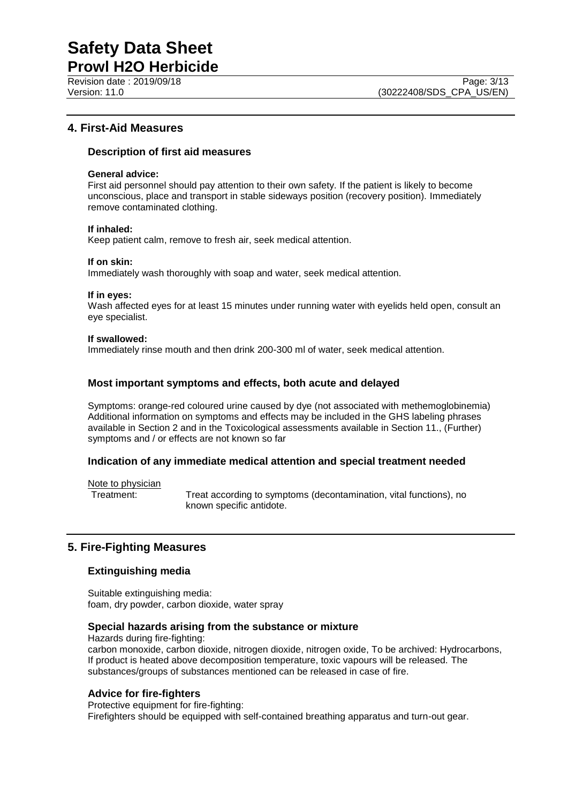**Prowl H2O Herbicide** Revision date : 2019/09/18 Page: 3/13<br>
Version: 11.0 (30222408/SDS CPA US/EN)

#### **4. First-Aid Measures**

#### **Description of first aid measures**

#### **General advice:**

First aid personnel should pay attention to their own safety. If the patient is likely to become unconscious, place and transport in stable sideways position (recovery position). Immediately remove contaminated clothing.

#### **If inhaled:**

Keep patient calm, remove to fresh air, seek medical attention.

#### **If on skin:**

Immediately wash thoroughly with soap and water, seek medical attention.

#### **If in eyes:**

Wash affected eyes for at least 15 minutes under running water with eyelids held open, consult an eye specialist.

#### **If swallowed:**

Immediately rinse mouth and then drink 200-300 ml of water, seek medical attention.

#### **Most important symptoms and effects, both acute and delayed**

Symptoms: orange-red coloured urine caused by dye (not associated with methemoglobinemia) Additional information on symptoms and effects may be included in the GHS labeling phrases available in Section 2 and in the Toxicological assessments available in Section 11., (Further) symptoms and / or effects are not known so far

#### **Indication of any immediate medical attention and special treatment needed**

Note to physician<br>Treatment:

Treat according to symptoms (decontamination, vital functions), no known specific antidote.

#### **5. Fire-Fighting Measures**

#### **Extinguishing media**

Suitable extinguishing media: foam, dry powder, carbon dioxide, water spray

#### **Special hazards arising from the substance or mixture**

Hazards during fire-fighting:

carbon monoxide, carbon dioxide, nitrogen dioxide, nitrogen oxide, To be archived: Hydrocarbons, If product is heated above decomposition temperature, toxic vapours will be released. The substances/groups of substances mentioned can be released in case of fire.

#### **Advice for fire-fighters**

Protective equipment for fire-fighting: Firefighters should be equipped with self-contained breathing apparatus and turn-out gear.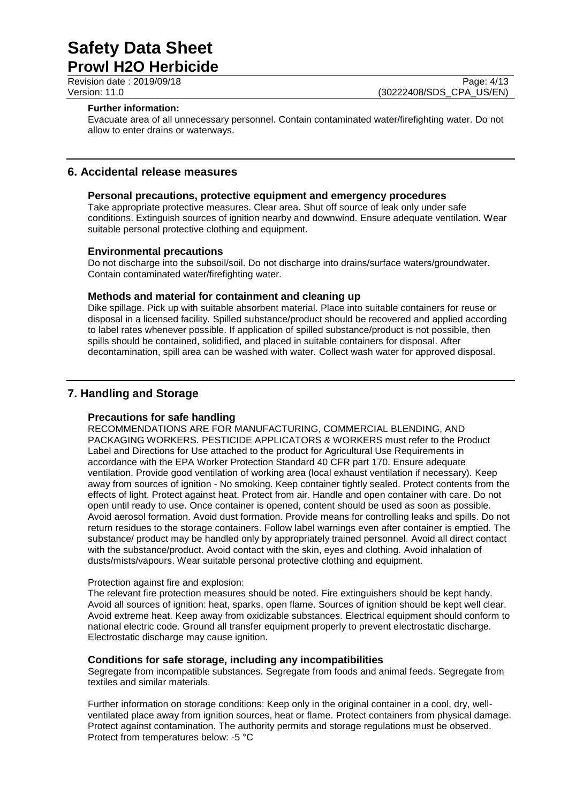Revision date : 2019/09/18 Page: 4/13<br>
Version: 11.0 (30222408/SDS CPA US/EN) (30222408/SDS\_CPA\_US/EN)

#### **Further information:**

Evacuate area of all unnecessary personnel. Contain contaminated water/firefighting water. Do not allow to enter drains or waterways.

#### **6. Accidental release measures**

#### **Personal precautions, protective equipment and emergency procedures**

Take appropriate protective measures. Clear area. Shut off source of leak only under safe conditions. Extinguish sources of ignition nearby and downwind. Ensure adequate ventilation. Wear suitable personal protective clothing and equipment.

#### **Environmental precautions**

Do not discharge into the subsoil/soil. Do not discharge into drains/surface waters/groundwater. Contain contaminated water/firefighting water.

#### **Methods and material for containment and cleaning up**

Dike spillage. Pick up with suitable absorbent material. Place into suitable containers for reuse or disposal in a licensed facility. Spilled substance/product should be recovered and applied according to label rates whenever possible. If application of spilled substance/product is not possible, then spills should be contained, solidified, and placed in suitable containers for disposal. After decontamination, spill area can be washed with water. Collect wash water for approved disposal.

#### **7. Handling and Storage**

#### **Precautions for safe handling**

RECOMMENDATIONS ARE FOR MANUFACTURING, COMMERCIAL BLENDING, AND PACKAGING WORKERS. PESTICIDE APPLICATORS & WORKERS must refer to the Product Label and Directions for Use attached to the product for Agricultural Use Requirements in accordance with the EPA Worker Protection Standard 40 CFR part 170. Ensure adequate ventilation. Provide good ventilation of working area (local exhaust ventilation if necessary). Keep away from sources of ignition - No smoking. Keep container tightly sealed. Protect contents from the effects of light. Protect against heat. Protect from air. Handle and open container with care. Do not open until ready to use. Once container is opened, content should be used as soon as possible. Avoid aerosol formation. Avoid dust formation. Provide means for controlling leaks and spills. Do not return residues to the storage containers. Follow label warnings even after container is emptied. The substance/ product may be handled only by appropriately trained personnel. Avoid all direct contact with the substance/product. Avoid contact with the skin, eyes and clothing. Avoid inhalation of dusts/mists/vapours. Wear suitable personal protective clothing and equipment.

#### Protection against fire and explosion:

The relevant fire protection measures should be noted. Fire extinguishers should be kept handy. Avoid all sources of ignition: heat, sparks, open flame. Sources of ignition should be kept well clear. Avoid extreme heat. Keep away from oxidizable substances. Electrical equipment should conform to national electric code. Ground all transfer equipment properly to prevent electrostatic discharge. Electrostatic discharge may cause ignition.

#### **Conditions for safe storage, including any incompatibilities**

Segregate from incompatible substances. Segregate from foods and animal feeds. Segregate from textiles and similar materials.

Further information on storage conditions: Keep only in the original container in a cool, dry, wellventilated place away from ignition sources, heat or flame. Protect containers from physical damage. Protect against contamination. The authority permits and storage regulations must be observed. Protect from temperatures below: -5 °C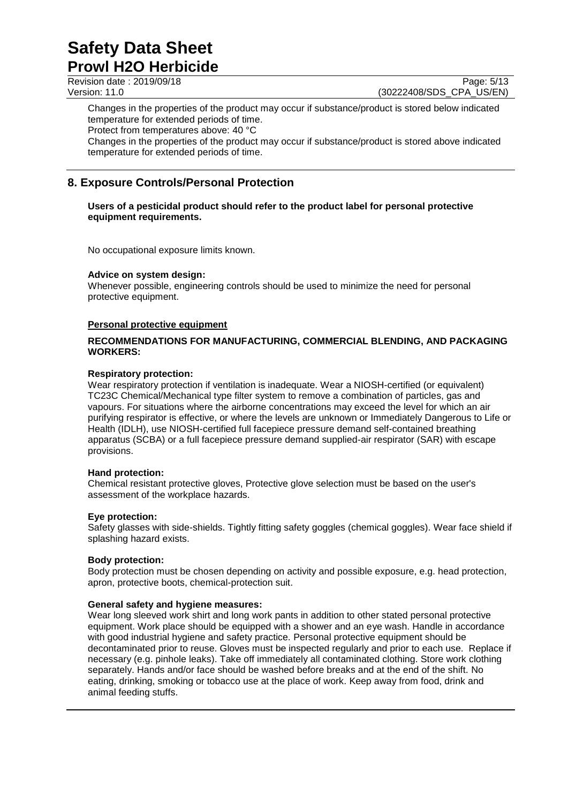Revision date : 2019/09/18 Page: 5/13<br>Version: 11.0 (30222408/SDS CPA US/EN) (30222408/SDS CPA US/EN)

Changes in the properties of the product may occur if substance/product is stored below indicated temperature for extended periods of time.

Protect from temperatures above: 40 °C

Changes in the properties of the product may occur if substance/product is stored above indicated temperature for extended periods of time.

### **8. Exposure Controls/Personal Protection**

#### **Users of a pesticidal product should refer to the product label for personal protective equipment requirements.**

No occupational exposure limits known.

#### **Advice on system design:**

Whenever possible, engineering controls should be used to minimize the need for personal protective equipment.

#### **Personal protective equipment**

#### **RECOMMENDATIONS FOR MANUFACTURING, COMMERCIAL BLENDING, AND PACKAGING WORKERS:**

#### **Respiratory protection:**

Wear respiratory protection if ventilation is inadequate. Wear a NIOSH-certified (or equivalent) TC23C Chemical/Mechanical type filter system to remove a combination of particles, gas and vapours. For situations where the airborne concentrations may exceed the level for which an air purifying respirator is effective, or where the levels are unknown or Immediately Dangerous to Life or Health (IDLH), use NIOSH-certified full facepiece pressure demand self-contained breathing apparatus (SCBA) or a full facepiece pressure demand supplied-air respirator (SAR) with escape provisions.

#### **Hand protection:**

Chemical resistant protective gloves, Protective glove selection must be based on the user's assessment of the workplace hazards.

#### **Eye protection:**

Safety glasses with side-shields. Tightly fitting safety goggles (chemical goggles). Wear face shield if splashing hazard exists.

#### **Body protection:**

Body protection must be chosen depending on activity and possible exposure, e.g. head protection, apron, protective boots, chemical-protection suit.

#### **General safety and hygiene measures:**

Wear long sleeved work shirt and long work pants in addition to other stated personal protective equipment. Work place should be equipped with a shower and an eye wash. Handle in accordance with good industrial hygiene and safety practice. Personal protective equipment should be decontaminated prior to reuse. Gloves must be inspected regularly and prior to each use. Replace if necessary (e.g. pinhole leaks). Take off immediately all contaminated clothing. Store work clothing separately. Hands and/or face should be washed before breaks and at the end of the shift. No eating, drinking, smoking or tobacco use at the place of work. Keep away from food, drink and animal feeding stuffs.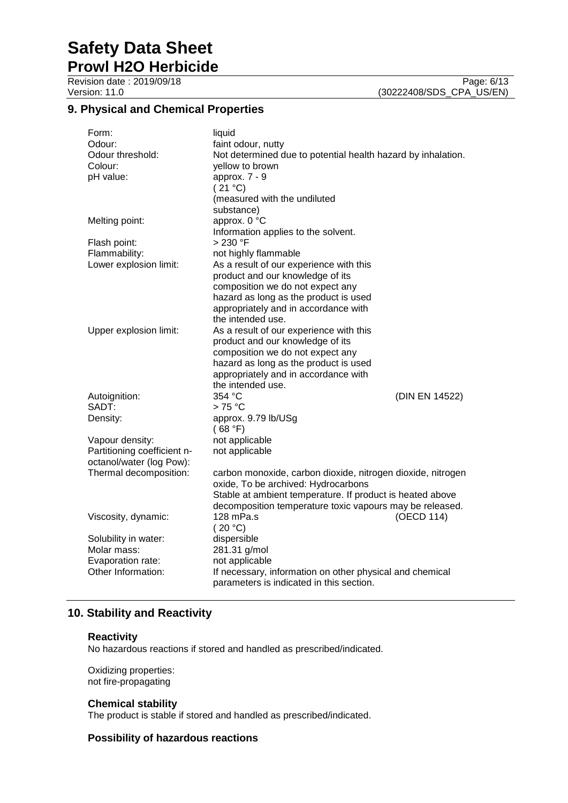**Prowl H2O Herbicide**

### **9. Physical and Chemical Properties**

| Form:<br>Odour:<br>Odour threshold:<br>Colour:<br>pH value: | liquid<br>faint odour, nutty<br>Not determined due to potential health hazard by inhalation.<br>yellow to brown<br>approx. 7 - 9<br>(21 °C)<br>(measured with the undiluted<br>substance) |                |
|-------------------------------------------------------------|-------------------------------------------------------------------------------------------------------------------------------------------------------------------------------------------|----------------|
| Melting point:                                              | approx. 0 °C<br>Information applies to the solvent.                                                                                                                                       |                |
| Flash point:                                                | $>230$ °F                                                                                                                                                                                 |                |
| Flammability:                                               | not highly flammable                                                                                                                                                                      |                |
| Lower explosion limit:                                      | As a result of our experience with this                                                                                                                                                   |                |
|                                                             | product and our knowledge of its                                                                                                                                                          |                |
|                                                             | composition we do not expect any                                                                                                                                                          |                |
|                                                             | hazard as long as the product is used                                                                                                                                                     |                |
|                                                             | appropriately and in accordance with                                                                                                                                                      |                |
|                                                             | the intended use.                                                                                                                                                                         |                |
| Upper explosion limit:                                      | As a result of our experience with this<br>product and our knowledge of its                                                                                                               |                |
|                                                             | composition we do not expect any                                                                                                                                                          |                |
|                                                             | hazard as long as the product is used                                                                                                                                                     |                |
|                                                             | appropriately and in accordance with                                                                                                                                                      |                |
|                                                             | the intended use.                                                                                                                                                                         |                |
| Autoignition:                                               | 354 °C                                                                                                                                                                                    | (DIN EN 14522) |
| SADT:                                                       | $>75^{\circ}$ C                                                                                                                                                                           |                |
| Density:                                                    | approx. 9.79 lb/USg<br>(68 °F)                                                                                                                                                            |                |
| Vapour density:                                             | not applicable                                                                                                                                                                            |                |
| Partitioning coefficient n-                                 | not applicable                                                                                                                                                                            |                |
| octanol/water (log Pow):                                    |                                                                                                                                                                                           |                |
| Thermal decomposition:                                      | carbon monoxide, carbon dioxide, nitrogen dioxide, nitrogen<br>oxide, To be archived: Hydrocarbons                                                                                        |                |
|                                                             |                                                                                                                                                                                           |                |
|                                                             | Stable at ambient temperature. If product is heated above                                                                                                                                 |                |
|                                                             | decomposition temperature toxic vapours may be released.                                                                                                                                  |                |
| Viscosity, dynamic:                                         | 128 mPa.s<br>(20 °C)                                                                                                                                                                      | (OECD 114)     |
| Solubility in water:                                        | dispersible                                                                                                                                                                               |                |
| Molar mass:                                                 | 281.31 g/mol                                                                                                                                                                              |                |
| Evaporation rate:                                           | not applicable                                                                                                                                                                            |                |
| Other Information:                                          | If necessary, information on other physical and chemical<br>parameters is indicated in this section.                                                                                      |                |

#### **10. Stability and Reactivity**

#### **Reactivity**

No hazardous reactions if stored and handled as prescribed/indicated.

Oxidizing properties: not fire-propagating

#### **Chemical stability**

The product is stable if stored and handled as prescribed/indicated.

#### **Possibility of hazardous reactions**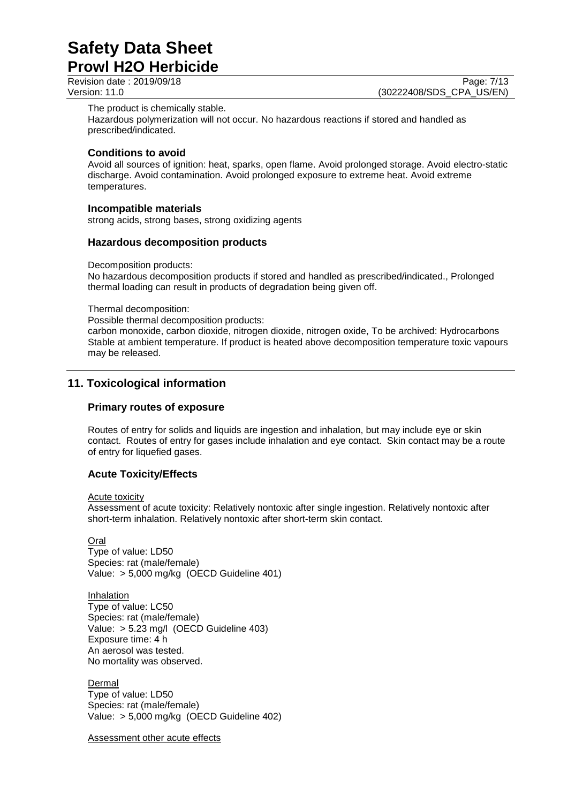### **Prowl H2O Herbicide**

Revision date : 2019/09/18 Page: 7/13<br>
Version: 11.0 (30222408/SDS CPA US/EN) (30222408/SDS CPA US/EN)

The product is chemically stable.

Hazardous polymerization will not occur. No hazardous reactions if stored and handled as prescribed/indicated.

#### **Conditions to avoid**

Avoid all sources of ignition: heat, sparks, open flame. Avoid prolonged storage. Avoid electro-static discharge. Avoid contamination. Avoid prolonged exposure to extreme heat. Avoid extreme temperatures.

#### **Incompatible materials**

strong acids, strong bases, strong oxidizing agents

#### **Hazardous decomposition products**

Decomposition products:

No hazardous decomposition products if stored and handled as prescribed/indicated., Prolonged thermal loading can result in products of degradation being given off.

Thermal decomposition:

Possible thermal decomposition products:

carbon monoxide, carbon dioxide, nitrogen dioxide, nitrogen oxide, To be archived: Hydrocarbons Stable at ambient temperature. If product is heated above decomposition temperature toxic vapours may be released.

#### **11. Toxicological information**

#### **Primary routes of exposure**

Routes of entry for solids and liquids are ingestion and inhalation, but may include eye or skin contact. Routes of entry for gases include inhalation and eye contact. Skin contact may be a route of entry for liquefied gases.

#### **Acute Toxicity/Effects**

#### Acute toxicity

Assessment of acute toxicity: Relatively nontoxic after single ingestion. Relatively nontoxic after short-term inhalation. Relatively nontoxic after short-term skin contact.

**Oral** 

Type of value: LD50 Species: rat (male/female) Value: > 5,000 mg/kg (OECD Guideline 401)

Inhalation Type of value: LC50 Species: rat (male/female) Value: > 5.23 mg/l (OECD Guideline 403) Exposure time: 4 h An aerosol was tested. No mortality was observed.

**Dermal** Type of value: LD50 Species: rat (male/female) Value: > 5,000 mg/kg (OECD Guideline 402)

Assessment other acute effects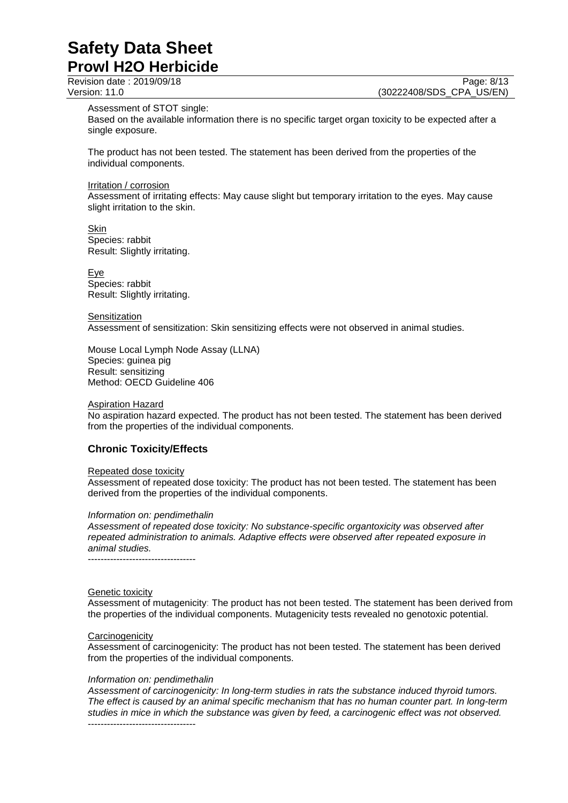Revision date : 2019/09/18 Page: 8/13<br>
Version: 11.0 (30222408/SDS CPA US/EN) (30222408/SDS\_CPA\_US/EN)

Assessment of STOT single:

Based on the available information there is no specific target organ toxicity to be expected after a single exposure.

The product has not been tested. The statement has been derived from the properties of the individual components.

#### Irritation / corrosion

Assessment of irritating effects: May cause slight but temporary irritation to the eyes. May cause slight irritation to the skin.

Skin Species: rabbit Result: Slightly irritating.

Eye Species: rabbit Result: Slightly irritating.

**Sensitization** Assessment of sensitization: Skin sensitizing effects were not observed in animal studies.

Mouse Local Lymph Node Assay (LLNA) Species: guinea pig Result: sensitizing Method: OECD Guideline 406

#### Aspiration Hazard

No aspiration hazard expected. The product has not been tested. The statement has been derived from the properties of the individual components.

#### **Chronic Toxicity/Effects**

#### Repeated dose toxicity

Assessment of repeated dose toxicity: The product has not been tested. The statement has been derived from the properties of the individual components.

#### *Information on: pendimethalin*

*Assessment of repeated dose toxicity: No substance-specific organtoxicity was observed after repeated administration to animals. Adaptive effects were observed after repeated exposure in animal studies.* ----------------------------------

#### Genetic toxicity

Assessment of mutagenicity: The product has not been tested. The statement has been derived from the properties of the individual components. Mutagenicity tests revealed no genotoxic potential.

#### **Carcinogenicity**

Assessment of carcinogenicity: The product has not been tested. The statement has been derived from the properties of the individual components.

#### *Information on: pendimethalin*

*Assessment of carcinogenicity: In long-term studies in rats the substance induced thyroid tumors. The effect is caused by an animal specific mechanism that has no human counter part. In long-term studies in mice in which the substance was given by feed, a carcinogenic effect was not observed.* ----------------------------------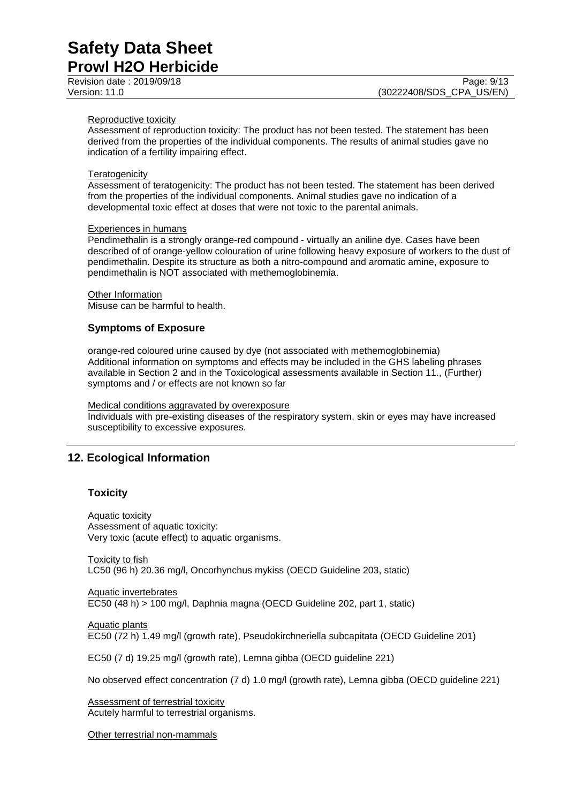Revision date : 2019/09/18 Page: 9/13<br>
Version: 11.0 (30222408/SDS CPA US/EN)

#### Reproductive toxicity

Assessment of reproduction toxicity: The product has not been tested. The statement has been derived from the properties of the individual components. The results of animal studies gave no indication of a fertility impairing effect.

#### **Teratogenicity**

Assessment of teratogenicity: The product has not been tested. The statement has been derived from the properties of the individual components. Animal studies gave no indication of a developmental toxic effect at doses that were not toxic to the parental animals.

#### Experiences in humans

Pendimethalin is a strongly orange-red compound - virtually an aniline dye. Cases have been described of of orange-yellow colouration of urine following heavy exposure of workers to the dust of pendimethalin. Despite its structure as both a nitro-compound and aromatic amine, exposure to pendimethalin is NOT associated with methemoglobinemia.

Other Information Misuse can be harmful to health.

#### **Symptoms of Exposure**

orange-red coloured urine caused by dye (not associated with methemoglobinemia) Additional information on symptoms and effects may be included in the GHS labeling phrases available in Section 2 and in the Toxicological assessments available in Section 11., (Further) symptoms and / or effects are not known so far

#### Medical conditions aggravated by overexposure

Individuals with pre-existing diseases of the respiratory system, skin or eyes may have increased susceptibility to excessive exposures.

#### **12. Ecological Information**

#### **Toxicity**

Aquatic toxicity Assessment of aquatic toxicity: Very toxic (acute effect) to aquatic organisms.

Toxicity to fish LC50 (96 h) 20.36 mg/l, Oncorhynchus mykiss (OECD Guideline 203, static)

Aquatic invertebrates EC50 (48 h) > 100 mg/l, Daphnia magna (OECD Guideline 202, part 1, static)

Aquatic plants

EC50 (72 h) 1.49 mg/l (growth rate), Pseudokirchneriella subcapitata (OECD Guideline 201)

EC50 (7 d) 19.25 mg/l (growth rate), Lemna gibba (OECD guideline 221)

No observed effect concentration (7 d) 1.0 mg/l (growth rate), Lemna gibba (OECD guideline 221)

Assessment of terrestrial toxicity Acutely harmful to terrestrial organisms.

Other terrestrial non-mammals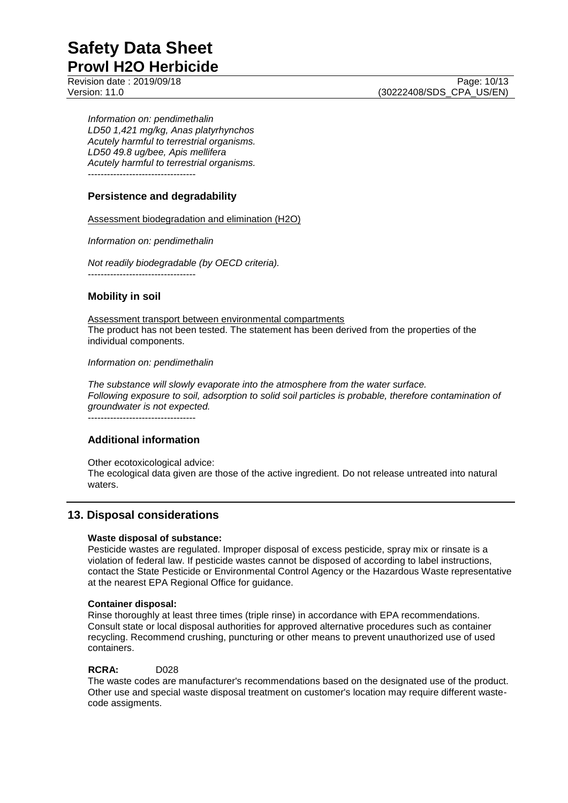Revision date : 2019/09/18 Page: 10/13<br>Version: 11.0 (30222408/SDS CPA US/EN)

*Information on: pendimethalin LD50 1,421 mg/kg, Anas platyrhynchos Acutely harmful to terrestrial organisms. LD50 49.8 ug/bee, Apis mellifera Acutely harmful to terrestrial organisms.* ----------------------------------

#### **Persistence and degradability**

#### Assessment biodegradation and elimination (H2O)

*Information on: pendimethalin*

*Not readily biodegradable (by OECD criteria).* ----------------------------------

#### **Mobility in soil**

Assessment transport between environmental compartments The product has not been tested. The statement has been derived from the properties of the individual components.

#### *Information on: pendimethalin*

*The substance will slowly evaporate into the atmosphere from the water surface. Following exposure to soil, adsorption to solid soil particles is probable, therefore contamination of groundwater is not expected.*

----------------------------------

#### **Additional information**

Other ecotoxicological advice: The ecological data given are those of the active ingredient. Do not release untreated into natural waters.

#### **13. Disposal considerations**

#### **Waste disposal of substance:**

Pesticide wastes are regulated. Improper disposal of excess pesticide, spray mix or rinsate is a violation of federal law. If pesticide wastes cannot be disposed of according to label instructions, contact the State Pesticide or Environmental Control Agency or the Hazardous Waste representative at the nearest EPA Regional Office for guidance.

#### **Container disposal:**

Rinse thoroughly at least three times (triple rinse) in accordance with EPA recommendations. Consult state or local disposal authorities for approved alternative procedures such as container recycling. Recommend crushing, puncturing or other means to prevent unauthorized use of used containers.

#### **RCRA:** D028

The waste codes are manufacturer's recommendations based on the designated use of the product. Other use and special waste disposal treatment on customer's location may require different wastecode assigments.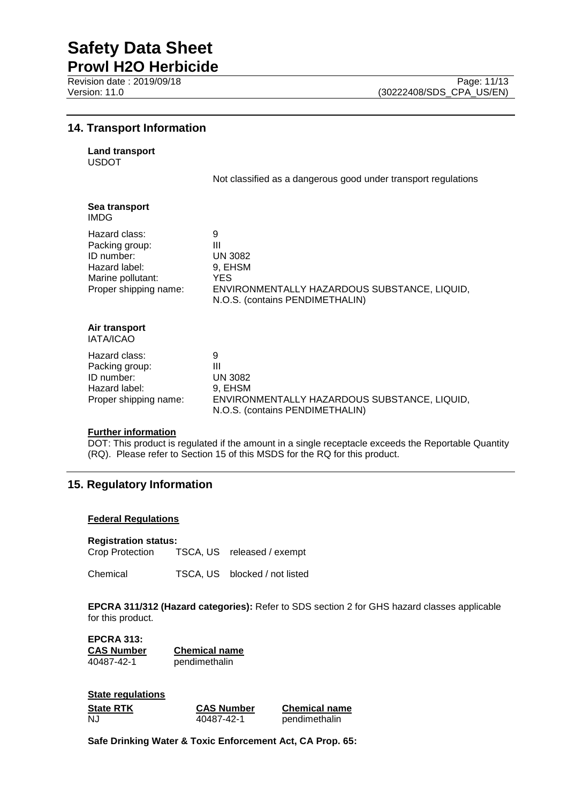**Prowl H2O Herbicide** Revision date : 2019/09/18 Page: 11/13<br>Version: 11.0 (30222408/SDS CPA US/EN)

#### **14. Transport Information**

| <b>Land transport</b> |
|-----------------------|
|                       |

USDOT

Not classified as a dangerous good under transport regulations

| Sea transport<br>IMDG                                                                                        |                                                                                                                                |
|--------------------------------------------------------------------------------------------------------------|--------------------------------------------------------------------------------------------------------------------------------|
| Hazard class:<br>Packing group:<br>ID number:<br>Hazard label:<br>Marine pollutant:<br>Proper shipping name: | 9<br>Ш<br><b>UN 3082</b><br>9. EHSM<br>YES.<br>ENVIRONMENTALLY HAZARDOUS SUBSTANCE, LIQUID,<br>N.O.S. (contains PENDIMETHALIN) |
| Air transport<br><b>IATA/ICAO</b>                                                                            |                                                                                                                                |
| Hazard class:<br>Packing group:<br>ID number:<br>Hazard label:<br>Proper shipping name:                      | 9<br>Ш<br><b>UN 3082</b><br>9, EHSM<br>ENVIRONMENTALLY HAZARDOUS SUBSTANCE, LIQUID,<br>N.O.S. (contains PENDIMETHALIN)         |

#### **Further information**

DOT: This product is regulated if the amount in a single receptacle exceeds the Reportable Quantity (RQ). Please refer to Section 15 of this MSDS for the RQ for this product.

#### **15. Regulatory Information**

#### **Federal Regulations**

#### **Registration status:**

Crop Protection TSCA, US released / exempt

Chemical TSCA, US blocked / not listed

**EPCRA 311/312 (Hazard categories):** Refer to SDS section 2 for GHS hazard classes applicable for this product.

**EPCRA 313: CAS Number Chemical name** pendimethalin

| <b>State regulations</b> |                   |                      |
|--------------------------|-------------------|----------------------|
| <b>State RTK</b>         | <b>CAS Number</b> | <b>Chemical name</b> |
| NJ.                      | 40487-42-1        | pendimethalin        |

**Safe Drinking Water & Toxic Enforcement Act, CA Prop. 65:**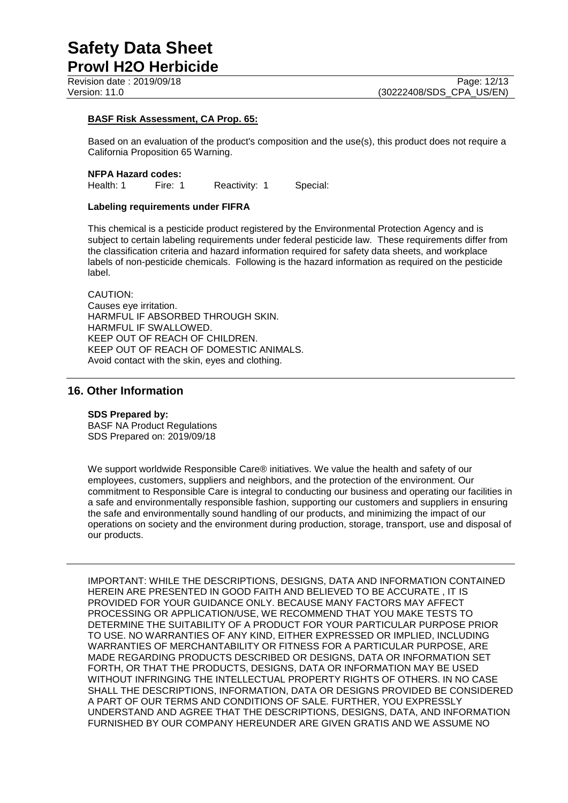Revision date : 2019/09/18 Page: 12/13<br>Version: 11.0 (30222408/SDS CPA US/EN)

#### **BASF Risk Assessment, CA Prop. 65:**

Based on an evaluation of the product's composition and the use(s), this product does not require a California Proposition 65 Warning.

#### **NFPA Hazard codes:**

Health: 1 Fire: 1 Reactivity: 1 Special:

#### **Labeling requirements under FIFRA**

This chemical is a pesticide product registered by the Environmental Protection Agency and is subject to certain labeling requirements under federal pesticide law. These requirements differ from the classification criteria and hazard information required for safety data sheets, and workplace labels of non-pesticide chemicals. Following is the hazard information as required on the pesticide label.

CAUTION: Causes eye irritation. HARMFUL IF ABSORBED THROUGH SKIN. HARMFUL IF SWALLOWED. KEEP OUT OF REACH OF CHILDREN. KEEP OUT OF REACH OF DOMESTIC ANIMALS. Avoid contact with the skin, eyes and clothing.

#### **16. Other Information**

#### **SDS Prepared by:**

BASF NA Product Regulations SDS Prepared on: 2019/09/18

We support worldwide Responsible Care® initiatives. We value the health and safety of our employees, customers, suppliers and neighbors, and the protection of the environment. Our commitment to Responsible Care is integral to conducting our business and operating our facilities in a safe and environmentally responsible fashion, supporting our customers and suppliers in ensuring the safe and environmentally sound handling of our products, and minimizing the impact of our operations on society and the environment during production, storage, transport, use and disposal of our products.

IMPORTANT: WHILE THE DESCRIPTIONS, DESIGNS, DATA AND INFORMATION CONTAINED HEREIN ARE PRESENTED IN GOOD FAITH AND BELIEVED TO BE ACCURATE , IT IS PROVIDED FOR YOUR GUIDANCE ONLY. BECAUSE MANY FACTORS MAY AFFECT PROCESSING OR APPLICATION/USE, WE RECOMMEND THAT YOU MAKE TESTS TO DETERMINE THE SUITABILITY OF A PRODUCT FOR YOUR PARTICULAR PURPOSE PRIOR TO USE. NO WARRANTIES OF ANY KIND, EITHER EXPRESSED OR IMPLIED, INCLUDING WARRANTIES OF MERCHANTABILITY OR FITNESS FOR A PARTICULAR PURPOSE, ARE MADE REGARDING PRODUCTS DESCRIBED OR DESIGNS, DATA OR INFORMATION SET FORTH, OR THAT THE PRODUCTS, DESIGNS, DATA OR INFORMATION MAY BE USED WITHOUT INFRINGING THE INTELLECTUAL PROPERTY RIGHTS OF OTHERS. IN NO CASE SHALL THE DESCRIPTIONS, INFORMATION, DATA OR DESIGNS PROVIDED BE CONSIDERED A PART OF OUR TERMS AND CONDITIONS OF SALE. FURTHER, YOU EXPRESSLY UNDERSTAND AND AGREE THAT THE DESCRIPTIONS, DESIGNS, DATA, AND INFORMATION FURNISHED BY OUR COMPANY HEREUNDER ARE GIVEN GRATIS AND WE ASSUME NO